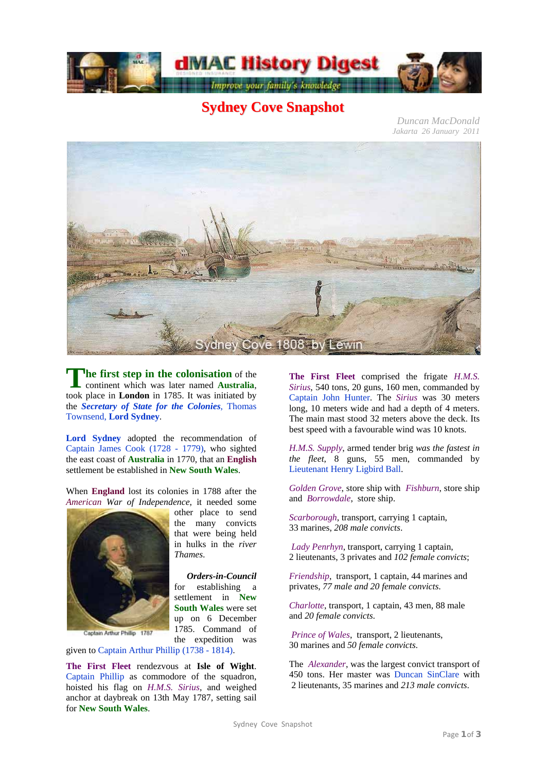

## **Sydney Cove Snapshot**

*Duncan MacDonald Jakarta 26 January 2011*



**he first step in the colonisation** of the continent which was later named **Australia**, The first step in the colonisation of the continent which was later named Australia, took place in London in 1785. It was initiated by the *Secretary of State for the Colonies*, Thomas Townsend, **Lord Sydney**.

**Lord Sydney** adopted the recommendation of Captain James Cook (1728 - 1779), who sighted the east coast of **Australia** in 1770, that an **English** settlement be established in **New South Wales**.

When **England** lost its colonies in 1788 after the *American War of Independence*, it needed some



Captain Arthur Phillip 1787

other place to send the many convicts that were being held in hulks in the *river Thames*.

*Orders-in-Council* for establishing a settlement in **New South Wales** were set up on 6 December 1785. Command of the expedition was

given to Captain Arthur Phillip (1738 - 1814).

**The First Fleet** rendezvous at **Isle of Wight**. Captain Phillip as commodore of the squadron, hoisted his flag on *H.M.S. Sirius,* and weighed anchor at daybreak on 13th May 1787, setting sail for **New South Wales**.

**The First Fleet** comprised the frigate *H.M.S. Sirius*, 540 tons, 20 guns, 160 men, commanded by Captain John Hunter. The *Sirius* was 30 meters long, 10 meters wide and had a depth of 4 meters. The main mast stood 32 meters above the deck. Its best speed with a favourable wind was 10 knots.

*H.M.S. Supply*, armed tender brig *was the fastest in the fleet*, 8 guns, 55 men, commanded by Lieutenant Henry Ligbird Ball.

*Golden Grove*, store ship with *Fishburn*, store ship and *Borrowdale*, store ship.

*Scarborough*, transport, carrying 1 captain, 33 marines, *208 male convicts*.

*Lady Penrhyn*, transport, carrying 1 captain, 2 lieutenants, 3 privates and *102 female convicts*;

*Friendship*, transport, 1 captain, 44 marines and privates, *77 male and 20 female convicts*.

*Charlotte*, transport, 1 captain, 43 men, 88 male and *20 female convicts*.

*Prince of Wales*, transport, 2 lieutenants, 30 marines and *50 female convicts*.

The *Alexander*, was the largest convict transport of 450 tons. Her master was Duncan SinClare with 2 lieutenants, 35 marines and *213 male convicts*.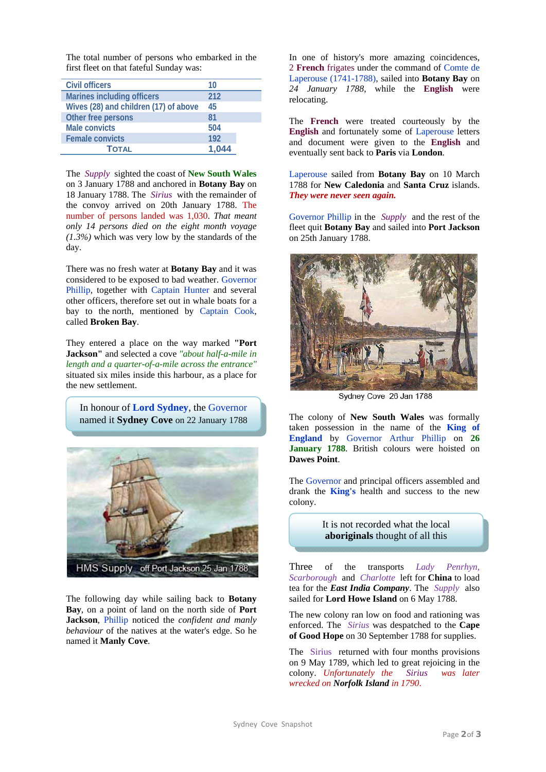The total number of persons who embarked in the first fleet on that fateful Sunday was:

| Civil officers                        | 10    |
|---------------------------------------|-------|
| <b>Marines including officers</b>     | 212   |
| Wives (28) and children (17) of above | 45    |
| Other free persons                    | 81    |
| <b>Male convicts</b>                  | 504   |
| <b>Female convicts</b>                | 192   |
| Τοται                                 | 1.044 |

The *Supply* sighted the coast of **New South Wales** on 3 January 1788 and anchored in **Botany Bay** on 18 January 1788. The *Sirius* with the remainder of the convoy arrived on 20th January 1788. The number of persons landed was 1,030. *That meant only 14 persons died on the eight month voyage (1.3%)* which was very low by the standards of the day.

There was no fresh water at **Botany Bay** and it was considered to be exposed to bad weather. Governor Phillip, together with Captain Hunter and several other officers, therefore set out in whale boats for a bay to the north, mentioned by Captain Cook, called **Broken Bay**.

They entered a place on the way marked **"Port Jackson"** and selected a cove *"about half-a-mile in length and a quarter-of-a-mile across the entrance"* situated six miles inside this harbour, as a place for the new settlement.

In honour of **Lord Sydney**, the Governor named it **Sydney Cove** on 22 January 1788



The following day while sailing back to **Botany Bay**, on a point of land on the north side of **Port Jackson**, Phillip noticed the *confident and manly behaviour* of the natives at the water's edge. So he named it **Manly Cove**.

In one of history's more amazing coincidences, 2 **French** frigates under the command of Comte de Laperouse (1741-1788), sailed into **Botany Bay** on *24 January 1788*, while the **English** were relocating.

The **French** were treated courteously by the **English** and fortunately some of Laperouse letters and document were given to the **English** and eventually sent back to **Paris** via **London**.

Laperouse sailed from **Botany Bay** on 10 March 1788 for **New Caledonia** and **Santa Cruz** islands. *They were never seen again.*

Governor Phillip in the *Supply* and the rest of the fleet quit **Botany Bay** and sailed into **Port Jackson** on 25th January 1788.



Sydney Cove 26 Jan 1788

The colony of **New South Wales** was formally taken possession in the name of the **King of England** by Governor Arthur Phillip on **26 January 1788**. British colours were hoisted on **Dawes Point**.

The Governor and principal officers assembled and drank the **King's** health and success to the new colony.

> It is not recorded what the local **aboriginals** thought of all this

Three of the transports *Lady Penrhyn, Scarborough* and *Charlotte* left for **China** to load tea for the *East India Company*. The *Supply* also sailed for **Lord Howe Island** on 6 May 1788.

The new colony ran low on food and rationing was enforced. The *Sirius* was despatched to the **Cape of Good Hope** on 30 September 1788 for supplies.

The Sirius returned with four months provisions on 9 May 1789, which led to great rejoicing in the colony. *Unfortunately the Sirius was later wrecked on Norfolk Island in 1790*.